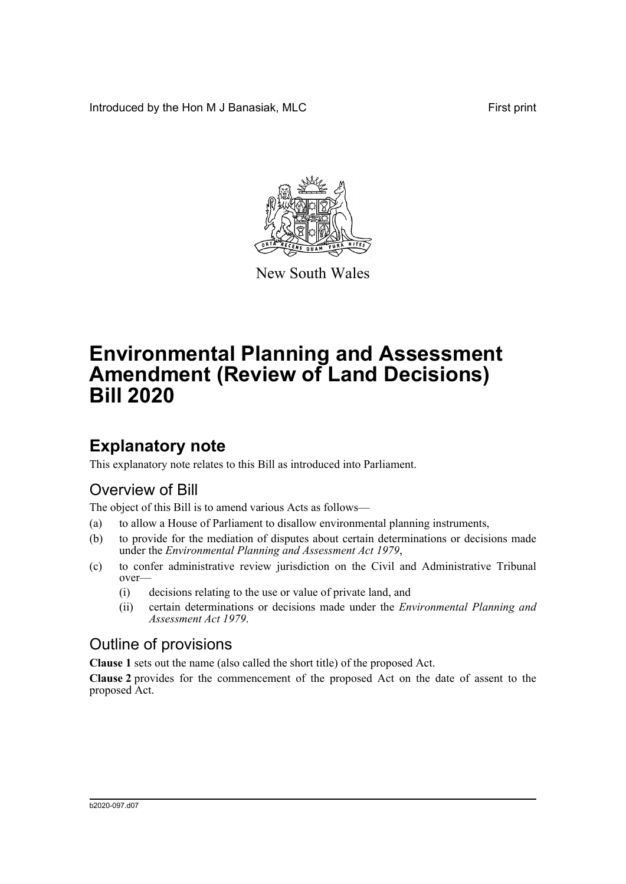Introduced by the Hon M J Banasiak, MLC First print



New South Wales

# **Environmental Planning and Assessment Amendment (Review of Land Decisions) Bill 2020**

# **Explanatory note**

This explanatory note relates to this Bill as introduced into Parliament.

## Overview of Bill

The object of this Bill is to amend various Acts as follows—

- (a) to allow a House of Parliament to disallow environmental planning instruments,
- (b) to provide for the mediation of disputes about certain determinations or decisions made under the *Environmental Planning and Assessment Act 1979*,
- (c) to confer administrative review jurisdiction on the Civil and Administrative Tribunal over—
	- (i) decisions relating to the use or value of private land, and
	- (ii) certain determinations or decisions made under the *Environmental Planning and Assessment Act 1979*.

### Outline of provisions

**Clause 1** sets out the name (also called the short title) of the proposed Act.

**Clause 2** provides for the commencement of the proposed Act on the date of assent to the proposed Act.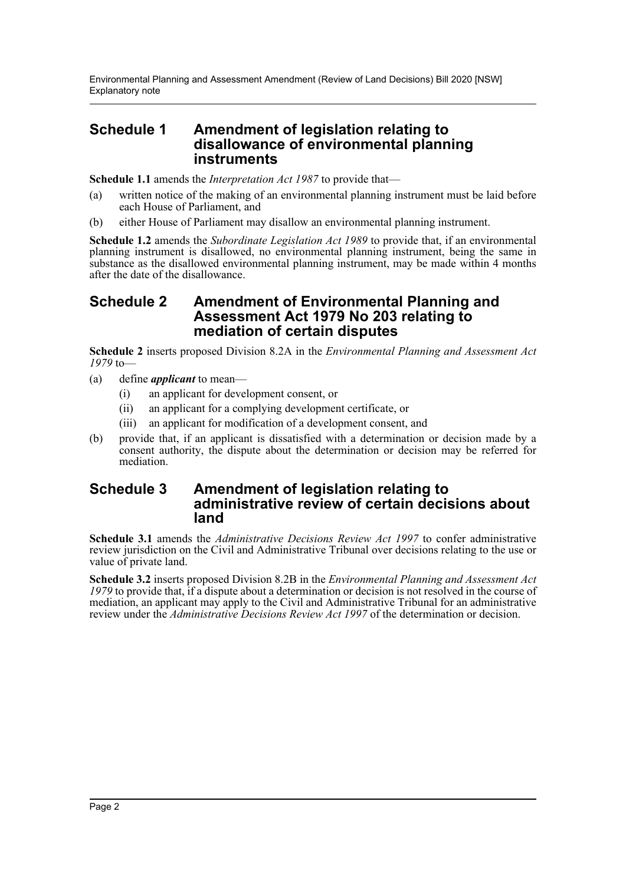### **Schedule 1 Amendment of legislation relating to disallowance of environmental planning instruments**

**Schedule 1.1** amends the *Interpretation Act 1987* to provide that—

- (a) written notice of the making of an environmental planning instrument must be laid before each House of Parliament, and
- (b) either House of Parliament may disallow an environmental planning instrument.

**Schedule 1.2** amends the *Subordinate Legislation Act 1989* to provide that, if an environmental planning instrument is disallowed, no environmental planning instrument, being the same in substance as the disallowed environmental planning instrument, may be made within 4 months after the date of the disallowance.

### **Schedule 2 Amendment of Environmental Planning and Assessment Act 1979 No 203 relating to mediation of certain disputes**

**Schedule 2** inserts proposed Division 8.2A in the *Environmental Planning and Assessment Act 1979* to—

- (a) define *applicant* to mean—
	- (i) an applicant for development consent, or
	- (ii) an applicant for a complying development certificate, or
	- (iii) an applicant for modification of a development consent, and
- (b) provide that, if an applicant is dissatisfied with a determination or decision made by a consent authority, the dispute about the determination or decision may be referred for mediation.

### **Schedule 3 Amendment of legislation relating to administrative review of certain decisions about land**

**Schedule 3.1** amends the *Administrative Decisions Review Act 1997* to confer administrative review jurisdiction on the Civil and Administrative Tribunal over decisions relating to the use or value of private land.

**Schedule 3.2** inserts proposed Division 8.2B in the *Environmental Planning and Assessment Act 1979* to provide that, if a dispute about a determination or decision is not resolved in the course of mediation, an applicant may apply to the Civil and Administrative Tribunal for an administrative review under the *Administrative Decisions Review Act 1997* of the determination or decision.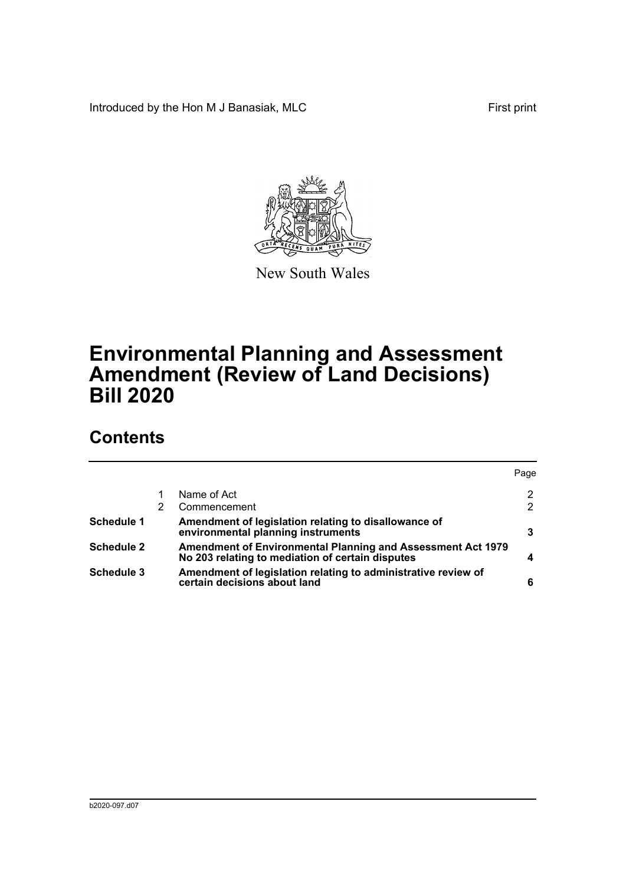Introduced by the Hon M J Banasiak, MLC First print



New South Wales

# **Environmental Planning and Assessment Amendment (Review of Land Decisions) Bill 2020**

# **Contents**

|                   |                                                                                                                 | Page                 |
|-------------------|-----------------------------------------------------------------------------------------------------------------|----------------------|
|                   | Name of Act                                                                                                     | 2                    |
|                   | Commencement                                                                                                    | $\mathbf{2}^{\circ}$ |
| <b>Schedule 1</b> | Amendment of legislation relating to disallowance of<br>environmental planning instruments                      | 3                    |
| <b>Schedule 2</b> | Amendment of Environmental Planning and Assessment Act 1979<br>No 203 relating to mediation of certain disputes |                      |
| <b>Schedule 3</b> | Amendment of legislation relating to administrative review of<br>certain decisions about land                   | 6                    |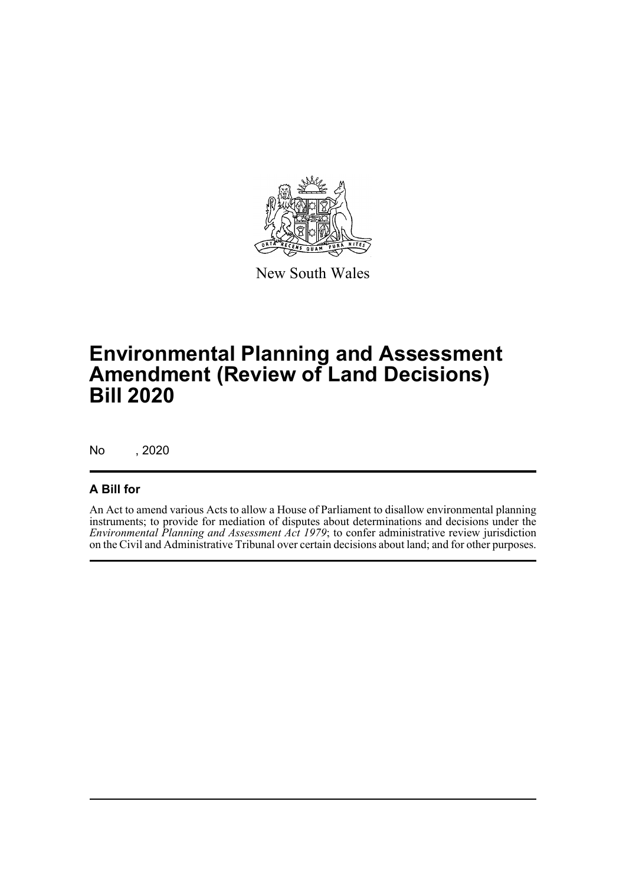

New South Wales

# **Environmental Planning and Assessment Amendment (Review of Land Decisions) Bill 2020**

No , 2020

### **A Bill for**

An Act to amend various Acts to allow a House of Parliament to disallow environmental planning instruments; to provide for mediation of disputes about determinations and decisions under the *Environmental Planning and Assessment Act 1979*; to confer administrative review jurisdiction on the Civil and Administrative Tribunal over certain decisions about land; and for other purposes.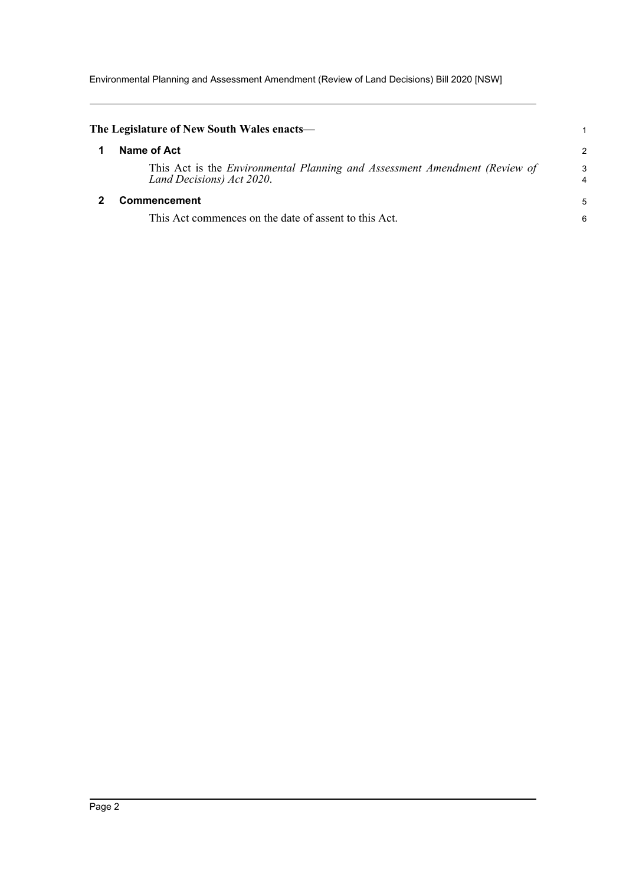Environmental Planning and Assessment Amendment (Review of Land Decisions) Bill 2020 [NSW]

<span id="page-4-1"></span><span id="page-4-0"></span>

| The Legislature of New South Wales enacts—                                                              |        |
|---------------------------------------------------------------------------------------------------------|--------|
| Name of Act                                                                                             | 2      |
| This Act is the Environmental Planning and Assessment Amendment (Review of<br>Land Decisions) Act 2020. | 3<br>4 |
| Commencement                                                                                            |        |
| This Act commences on the date of assent to this Act.                                                   | 6      |
|                                                                                                         |        |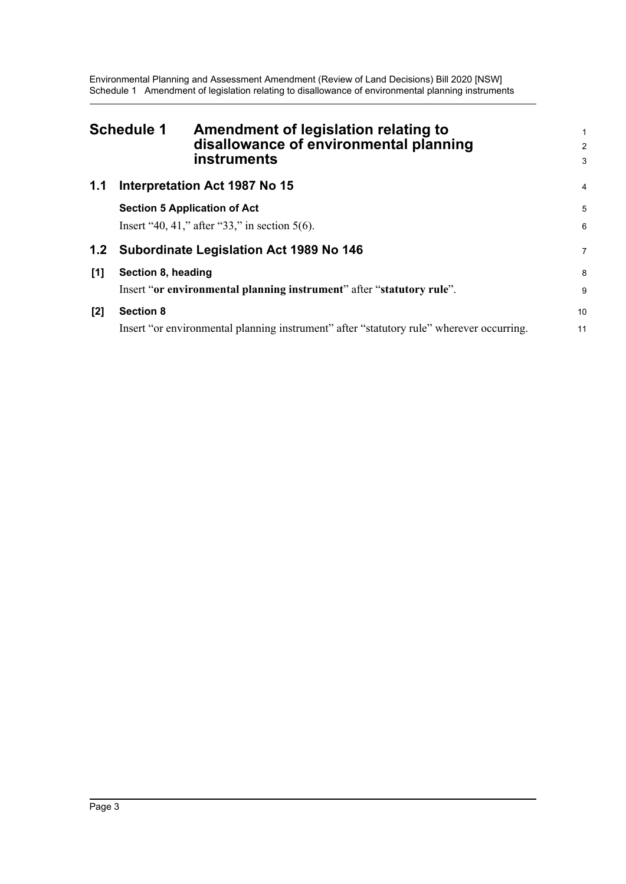Environmental Planning and Assessment Amendment (Review of Land Decisions) Bill 2020 [NSW] Schedule 1 Amendment of legislation relating to disallowance of environmental planning instruments

<span id="page-5-0"></span>

|     | <b>Schedule 1</b><br>Amendment of legislation relating to<br>disallowance of environmental planning<br><b>instruments</b> | 1<br>$\overline{a}$<br>3 |
|-----|---------------------------------------------------------------------------------------------------------------------------|--------------------------|
| 1.1 | Interpretation Act 1987 No 15                                                                                             | 4                        |
|     | <b>Section 5 Application of Act</b><br>Insert "40, 41," after "33," in section $5(6)$ .                                   | 5<br>6                   |
| 1.2 | Subordinate Legislation Act 1989 No 146                                                                                   | 7                        |
| [1] | Section 8, heading<br>Insert "or environmental planning instrument" after "statutory rule".                               | 8<br>9                   |
| [2] | <b>Section 8</b><br>Insert "or environmental planning instrument" after "statutory rule" wherever occurring.              | 10<br>11                 |
|     |                                                                                                                           |                          |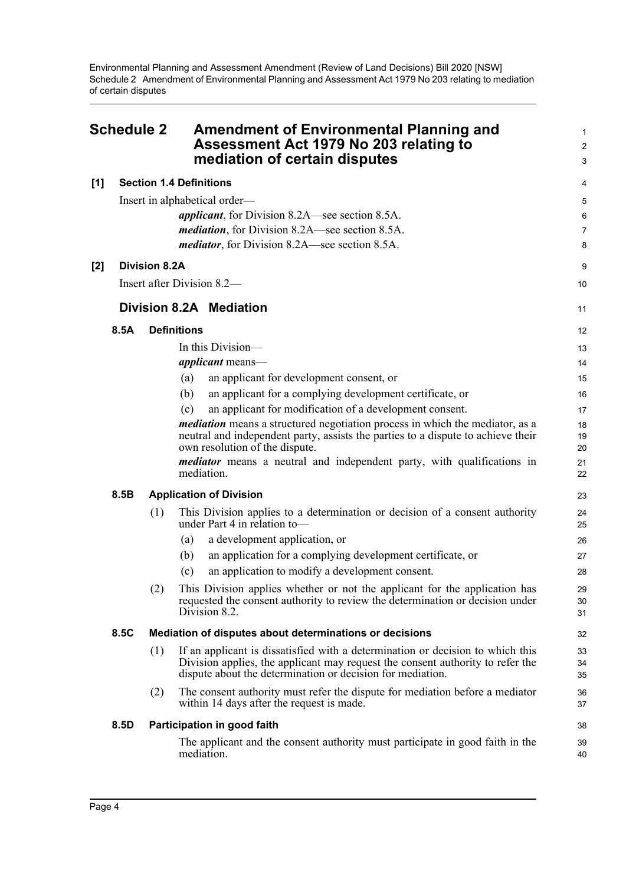Environmental Planning and Assessment Amendment (Review of Land Decisions) Bill 2020 [NSW] Schedule 2 Amendment of Environmental Planning and Assessment Act 1979 No 203 relating to mediation of certain disputes

<span id="page-6-0"></span>

|       | <b>Schedule 2</b>              |                      | <b>Amendment of Environmental Planning and</b><br>Assessment Act 1979 No 203 relating to<br>mediation of certain disputes                                                                                                      |                |  |
|-------|--------------------------------|----------------------|--------------------------------------------------------------------------------------------------------------------------------------------------------------------------------------------------------------------------------|----------------|--|
| [1]   | <b>Section 1.4 Definitions</b> |                      |                                                                                                                                                                                                                                |                |  |
|       |                                |                      | Insert in alphabetical order—                                                                                                                                                                                                  | 5              |  |
|       |                                |                      | <i>applicant</i> , for Division 8.2A—see section 8.5A.                                                                                                                                                                         | 6              |  |
|       |                                |                      | <i>mediation</i> , for Division 8.2A—see section 8.5A.                                                                                                                                                                         | $\overline{7}$ |  |
|       |                                |                      | <i>mediator</i> , for Division 8.2A—see section 8.5A.                                                                                                                                                                          | 8              |  |
| $[2]$ |                                | <b>Division 8.2A</b> |                                                                                                                                                                                                                                | 9              |  |
|       |                                |                      | Insert after Division 8.2—                                                                                                                                                                                                     | 10             |  |
|       |                                |                      | Division 8.2A Mediation                                                                                                                                                                                                        | 11             |  |
|       | 8.5A                           |                      | <b>Definitions</b>                                                                                                                                                                                                             | 12             |  |
|       |                                |                      | In this Division-                                                                                                                                                                                                              | 13             |  |
|       |                                |                      | <i>applicant</i> means—                                                                                                                                                                                                        | 14             |  |
|       |                                |                      | an applicant for development consent, or<br>(a)                                                                                                                                                                                | 15             |  |
|       |                                |                      | an applicant for a complying development certificate, or<br>(b)                                                                                                                                                                | 16             |  |
|       |                                |                      | an applicant for modification of a development consent.<br>(c)                                                                                                                                                                 | 17             |  |
|       |                                |                      | mediation means a structured negotiation process in which the mediator, as a<br>neutral and independent party, assists the parties to a dispute to achieve their<br>own resolution of the dispute.                             | 18<br>19<br>20 |  |
|       |                                |                      | <i>mediator</i> means a neutral and independent party, with qualifications in<br>mediation.                                                                                                                                    | 21<br>22       |  |
|       | 8.5B                           |                      | <b>Application of Division</b>                                                                                                                                                                                                 |                |  |
|       |                                | (1)                  | This Division applies to a determination or decision of a consent authority<br>under Part 4 in relation to-                                                                                                                    | 24<br>25       |  |
|       |                                |                      | a development application, or<br>(a)                                                                                                                                                                                           | 26             |  |
|       |                                |                      | an application for a complying development certificate, or<br>(b)                                                                                                                                                              | 27             |  |
|       |                                |                      | an application to modify a development consent.<br>(c)                                                                                                                                                                         | 28             |  |
|       |                                | (2)                  | This Division applies whether or not the applicant for the application has<br>requested the consent authority to review the determination or decision under<br>Division 8.2.                                                   | 29<br>30<br>31 |  |
|       | 8.5C                           |                      | Mediation of disputes about determinations or decisions                                                                                                                                                                        | 32             |  |
|       |                                | (1)                  | If an applicant is dissatisfied with a determination or decision to which this<br>Division applies, the applicant may request the consent authority to refer the<br>dispute about the determination or decision for mediation. | 33<br>34<br>35 |  |
|       |                                | (2)                  | The consent authority must refer the dispute for mediation before a mediator<br>within 14 days after the request is made.                                                                                                      | 36<br>37       |  |
|       | 8.5D                           |                      | Participation in good faith                                                                                                                                                                                                    | 38             |  |
|       |                                |                      | The applicant and the consent authority must participate in good faith in the<br>mediation.                                                                                                                                    | 39<br>40       |  |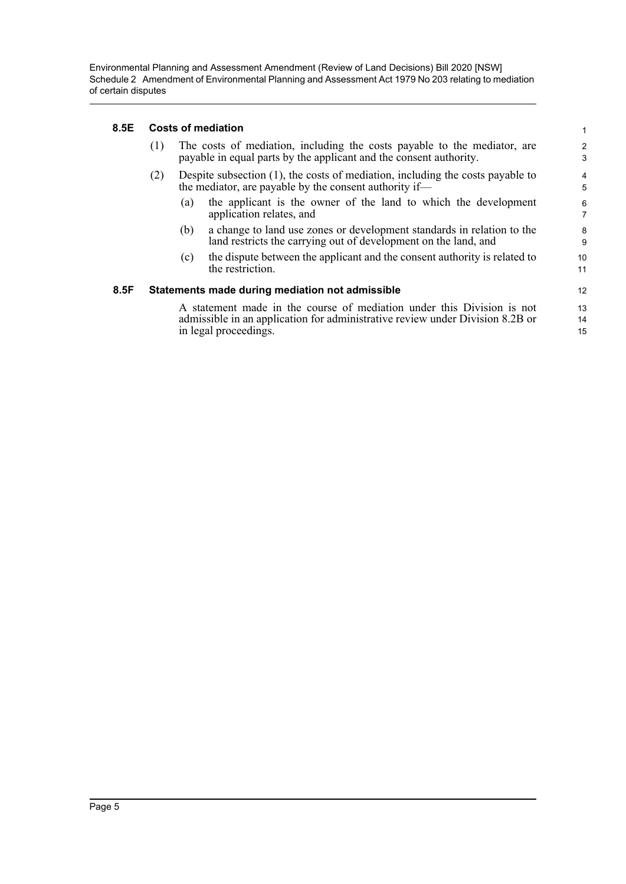Environmental Planning and Assessment Amendment (Review of Land Decisions) Bill 2020 [NSW] Schedule 2 Amendment of Environmental Planning and Assessment Act 1979 No 203 relating to mediation of certain disputes

#### **8.5E Costs of mediation**

| 8.5E | <b>Costs of mediation</b>                                                                                                                                                        |                                                                                                                                                |                                                                                                                                           | $\mathbf{1}$        |
|------|----------------------------------------------------------------------------------------------------------------------------------------------------------------------------------|------------------------------------------------------------------------------------------------------------------------------------------------|-------------------------------------------------------------------------------------------------------------------------------------------|---------------------|
|      | (1)                                                                                                                                                                              | The costs of mediation, including the costs payable to the mediator, are<br>payable in equal parts by the applicant and the consent authority. |                                                                                                                                           |                     |
|      | (2)                                                                                                                                                                              | Despite subsection $(1)$ , the costs of mediation, including the costs payable to<br>the mediator, are payable by the consent authority if—    |                                                                                                                                           |                     |
|      |                                                                                                                                                                                  | (a)                                                                                                                                            | the applicant is the owner of the land to which the development<br>application relates, and                                               | 6<br>$\overline{7}$ |
|      |                                                                                                                                                                                  | (b)                                                                                                                                            | a change to land use zones or development standards in relation to the<br>land restricts the carrying out of development on the land, and | 8<br>9              |
|      |                                                                                                                                                                                  | (c)                                                                                                                                            | the dispute between the applicant and the consent authority is related to<br>the restriction.                                             | 10<br>11            |
| 8.5F |                                                                                                                                                                                  |                                                                                                                                                | Statements made during mediation not admissible                                                                                           | 12                  |
|      | A statement made in the course of mediation under this Division is not<br>admissible in an application for administrative review under Division 8.2B or<br>in legal proceedings. |                                                                                                                                                |                                                                                                                                           | 13<br>14<br>15      |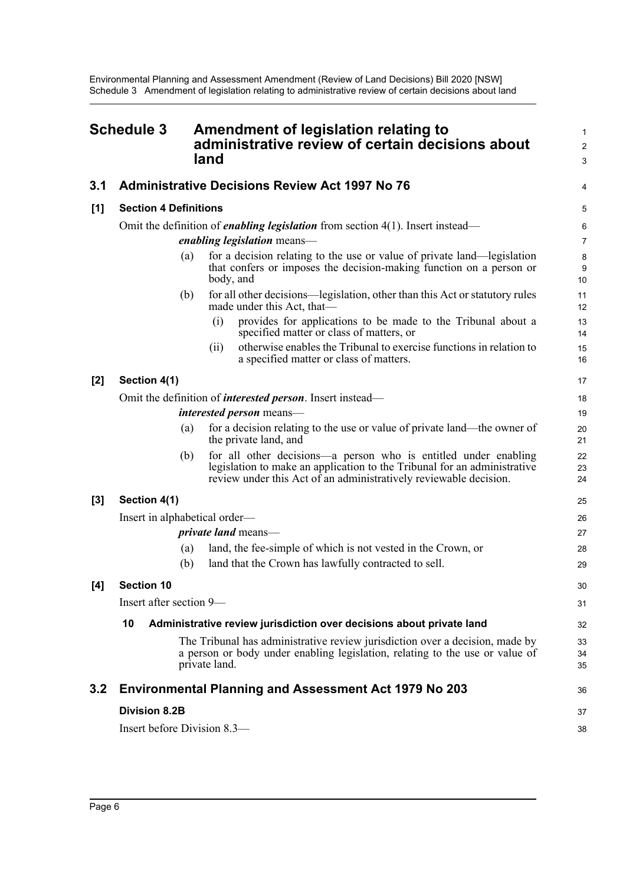<span id="page-8-0"></span>

|       | <b>Schedule 3</b>             |     | Amendment of legislation relating to<br>administrative review of certain decisions about<br>land                                                                                                                 | 1<br>$\overline{\mathbf{c}}$<br>3 |
|-------|-------------------------------|-----|------------------------------------------------------------------------------------------------------------------------------------------------------------------------------------------------------------------|-----------------------------------|
| 3.1   |                               |     | <b>Administrative Decisions Review Act 1997 No 76</b>                                                                                                                                                            | 4                                 |
| [1]   | <b>Section 4 Definitions</b>  |     |                                                                                                                                                                                                                  |                                   |
|       |                               |     | Omit the definition of <i>enabling legislation</i> from section $4(1)$ . Insert instead—<br><i>enabling legislation</i> means—                                                                                   | 6<br>7                            |
|       |                               | (a) | for a decision relating to the use or value of private land—legislation<br>that confers or imposes the decision-making function on a person or<br>body, and                                                      | 8<br>9<br>10                      |
|       |                               | (b) | for all other decisions—legislation, other than this Act or statutory rules<br>made under this Act, that-                                                                                                        | 11<br>12                          |
|       |                               |     | (i)<br>provides for applications to be made to the Tribunal about a<br>specified matter or class of matters, or                                                                                                  | 13<br>14                          |
|       |                               |     | otherwise enables the Tribunal to exercise functions in relation to<br>(ii)<br>a specified matter or class of matters.                                                                                           | 15<br>16                          |
| [2]   | Section 4(1)                  |     |                                                                                                                                                                                                                  | 17                                |
|       |                               |     | Omit the definition of <i>interested person</i> . Insert instead—                                                                                                                                                | 18                                |
|       |                               |     | <i>interested person</i> means—                                                                                                                                                                                  | 19                                |
|       |                               | (a) | for a decision relating to the use or value of private land—the owner of<br>the private land, and                                                                                                                | 20<br>21                          |
|       |                               | (b) | for all other decisions-a person who is entitled under enabling<br>legislation to make an application to the Tribunal for an administrative<br>review under this Act of an administratively reviewable decision. | 22<br>23<br>24                    |
| $[3]$ | Section 4(1)                  |     |                                                                                                                                                                                                                  | 25                                |
|       | Insert in alphabetical order— |     |                                                                                                                                                                                                                  | 26                                |
|       |                               |     | <i>private land</i> means—                                                                                                                                                                                       | 27                                |
|       |                               | (a) | land, the fee-simple of which is not vested in the Crown, or                                                                                                                                                     | 28                                |
|       |                               | (b) | land that the Crown has lawfully contracted to sell.                                                                                                                                                             | 29                                |
| [4]   | <b>Section 10</b>             |     |                                                                                                                                                                                                                  | 30                                |
|       | Insert after section 9-       |     |                                                                                                                                                                                                                  | 31                                |
|       | 10                            |     | Administrative review jurisdiction over decisions about private land                                                                                                                                             | 32                                |
|       |                               |     | The Tribunal has administrative review jurisdiction over a decision, made by<br>a person or body under enabling legislation, relating to the use or value of<br>private land.                                    | 33<br>34<br>35                    |
| 3.2   |                               |     | <b>Environmental Planning and Assessment Act 1979 No 203</b>                                                                                                                                                     | 36                                |
|       | <b>Division 8.2B</b>          |     |                                                                                                                                                                                                                  | 37                                |
|       | Insert before Division 8.3—   |     |                                                                                                                                                                                                                  | 38                                |